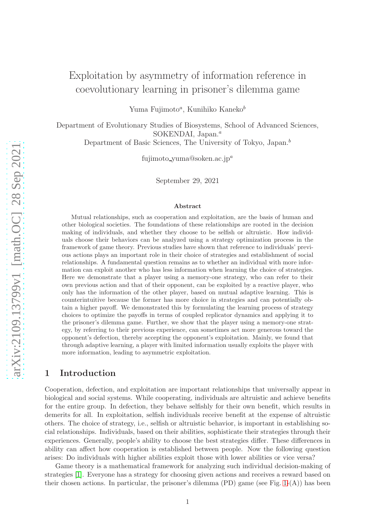# Exploitation by asymmetry of information reference in coevolutionary learning in prisoner's dilemma game

Yuma Fujimoto<sup>a</sup>, Kunihiko Kaneko<sup>b</sup>

Department of Evolutionary Studies of Biosystems, School of Advanced Sciences, SOKENDAI, Japan. $a$ 

Department of Basic Sciences, The University of Tokyo, Japan.<sup>b</sup>

fujimoto\_yuma@soken.ac.jp<sup>a</sup>

September 29, 2021

#### Abstract

Mutual relationships, such as cooperation and exploitation, are the basis of human and other biological societies. The foundations of these relationships are rooted in the decision making of individuals, and whether they choose to be selfish or altruistic. How individuals choose their behaviors can be analyzed using a strategy optimization process in the framework of game theory. Previous studies have shown that reference to individuals' previous actions plays an important role in their choice of strategies and establishment of social relationships. A fundamental question remains as to whether an individual with more information can exploit another who has less information when learning the choice of strategies. Here we demonstrate that a player using a memory-one strategy, who can refer to their own previous action and that of their opponent, can be exploited by a reactive player, who only has the information of the other player, based on mutual adaptive learning. This is counterintuitive because the former has more choice in strategies and can potentially obtain a higher payoff. We demonstrated this by formulating the learning process of strategy choices to optimize the payoffs in terms of coupled replicator dynamics and applying it to the prisoner's dilemma game. Further, we show that the player using a memory-one strategy, by referring to their previous experience, can sometimes act more generous toward the opponent's defection, thereby accepting the opponent's exploitation. Mainly, we found that through adaptive learning, a player with limited information usually exploits the player with more information, leading to asymmetric exploitation.

### 1 Introduction

Cooperation, defection, and exploitation are important relationships that universally appear in biological and social systems. While cooperating, individuals are altruistic and achieve benefits for the entire group. In defection, they behave selfishly for their own benefit, which results in demerits for all. In exploitation, selfish individuals receive benefit at the expense of altruistic others. The choice of strategy, i.e., selfish or altruistic behavior, is important in establishing social relationships. Individuals, based on their abilities, sophisticate their strategies through their experiences. Generally, people's ability to choose the best strategies differ. These differences in ability can affect how cooperation is established between people. Now the following question arises: Do individuals with higher abilities exploit those with lower abilities or vice versa?

Game theory is a mathematical framework for analyzing such individual decision-making of strategies [\[1\]](#page-12-0). Everyone has a strategy for choosing given actions and receives a reward based on their chosen actions. In particular, the prisoner's dilemma (PD) game (see Fig.  $1-(A)$ ) has been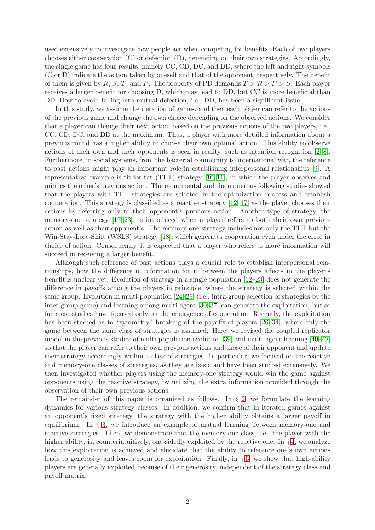used extensively to investigate how people act when competing for benefits. Each of two players chooses either cooperation (C) or defection (D), depending on their own strategies. Accordingly, the single game has four results, namely CC, CD, DC, and DD, where the left and right symbols (C or D) indicate the action taken by oneself and that of the opponent, respectively. The benefit of them is given by R, S, T, and P. The property of PD demands  $T > R > P > S$ : Each player receives a larger benefit for choosing D, which may lead to DD, but CC is more beneficial than DD. How to avoid falling into mutual defection, i.e., DD, has been a significant issue.

In this study, we assume the iteration of games, and then each player can refer to the actions of the previous game and change the own choice depending on the observed actions. We consider that a player can change their next action based on the previous actions of the two players, i.e., CC, CD, DC, and DD at the maximum. Thus, a player with more detailed information about a previous round has a higher ability to choose their own optimal action. This ability to observe actions of their own and their opponents is seen in reality, such as intention recognition [\[2](#page-13-0)[–8\]](#page-13-1). Furthermore, in social systems, from the bacterial community to international war, the reference to past actions might play an important role in establishing interpersonal relationships [\[9\]](#page-13-2). A representative example is tit-for-tat (TFT) strategy [\[10,](#page-13-3) [11\]](#page-13-4), in which the player observes and mimics the other's previous action. The monumental and the numerous following studies showed that the players with TFT strategies are selected in the optimization process and establish cooperation. This strategy is classified as a reactive strategy [\[12–](#page-13-5)[17\]](#page-13-6) as the player chooses their actions by referring only to their opponent's previous action. Another type of strategy, the memory-one strategy [\[17–](#page-13-6)[23\]](#page-14-0), is introduced when a player refers to both their own previous action as well as their opponent's. The memory-one strategy includes not only the TFT but the Win-Stay-Lose-Shift (WSLS) strategy [\[18\]](#page-13-7), which generates cooperation even under the error in choice of action. Consequently, it is expected that a player who refers to more information will succeed in receiving a larger benefit.

Although such reference of past actions plays a crucial role to establish interpersonal relationships, how the difference in information for it between the players affects in the player's benefit is unclear yet. Evolution of strategy in a single population [\[12](#page-13-5)[–23\]](#page-14-0) does not generate the difference in payoffs among the players in principle, where the strategy is selected within the same group. Evolution in multi-population [\[24–](#page-14-1)[29\]](#page-14-2) (i.e., intra-group selection of strategies by the inter-group game) and learning among multi-agent [\[30–](#page-14-3)[37\]](#page-14-4) can generate the exploitation, but so far most studies have focused only on the emergence of cooperation. Recently, the exploitation has been studied as to "symmetry" breaking of the payoffs of players [\[26,](#page-14-5) [34\]](#page-14-6), where only the game between the same class of strategies is assumed. Here, we revised the coupled replicator model in the previous studies of multi-population evolution [\[39\]](#page-14-7) and multi-agent learning [\[40](#page-14-8)[–42\]](#page-15-0) so that the player can refer to their own previous actions and those of their opponent and update their strategy accordingly within a class of strategies. In particular, we focused on the reactive and memory-one classes of strategies, as they are basic and have been studied extensively. We then investigated whether players using the memory-one strategy would win the game against opponents using the reactive strategy, by utilizing the extra information provided through the observation of their own previous actions.

The remainder of this paper is organized as follows. In  $\S$  [2,](#page-17-0) we formulate the learning dynamics for various strategy classes. In addition, we confirm that in iterated games against an opponent's fixed strategy, the strategy with the higher ability obtains a larger payoff in equilibrium. In § [3,](#page-5-0) we introduce an example of mutual learning between memory-one and reactive strategies. Then, we demonstrate that the memory-one class, i.e., the player with the higher ability, is, counterintuitively, one-sidedly exploited by the reactive one. In § [4,](#page-7-0) we analyze how this exploitation is achieved and elucidate that the ability to reference one's own actions leads to generosity and leaves room for exploitation. Finally, in  $\S 5$ , we show that high-ability players are generally exploited because of their generosity, independent of the strategy class and payoff matrix.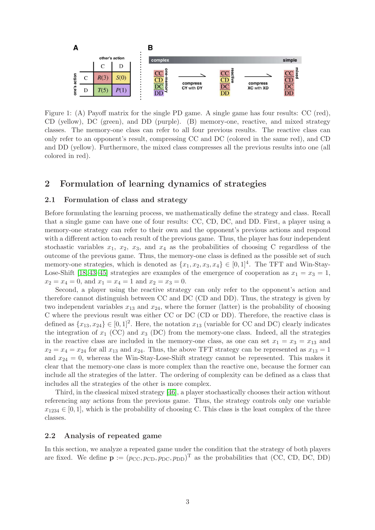

Figure 1: (A) Payoff matrix for the single PD game. A single game has four results: CC (red), CD (yellow), DC (green), and DD (purple). (B) memory-one, reactive, and mixed strategy classes. The memory-one class can refer to all four previous results. The reactive class can only refer to an opponent's result, compressing CC and DC (colored in the same red), and CD and DD (yellow). Furthermore, the mixed class compresses all the previous results into one (all colored in red).

### 2 Formulation of learning dynamics of strategies

#### 2.1 Formulation of class and strategy

Before formulating the learning process, we mathematically define the strategy and class. Recall that a single game can have one of four results: CC, CD, DC, and DD. First, a player using a memory-one strategy can refer to their own and the opponent's previous actions and respond with a different action to each result of the previous game. Thus, the player has four independent stochastic variables  $x_1$ ,  $x_2$ ,  $x_3$ , and  $x_4$  as the probabilities of choosing C regardless of the outcome of the previous game. Thus, the memory-one class is defined as the possible set of such memory-one strategies, which is denoted as  $\{x_1, x_2, x_3, x_4\} \in [0, 1]^4$ . The TFT and Win-Stay-Lose-Shift [\[18,](#page-13-7) [43–](#page-15-1)[45\]](#page-15-2) strategies are examples of the emergence of cooperation as  $x_1 = x_3 = 1$ ,  $x_2 = x_4 = 0$ , and  $x_1 = x_4 = 1$  and  $x_2 = x_3 = 0$ .

Second, a player using the reactive strategy can only refer to the opponent's action and therefore cannot distinguish between CC and DC (CD and DD). Thus, the strategy is given by two independent variables  $x_{13}$  and  $x_{24}$ , where the former (latter) is the probability of choosing C where the previous result was either CC or DC (CD or DD). Therefore, the reactive class is defined as  $\{x_{13}, x_{24}\} \in [0, 1]^2$ . Here, the notation  $x_{13}$  (variable for CC and DC) clearly indicates the integration of  $x_1$  (CC) and  $x_3$  (DC) from the memory-one class. Indeed, all the strategies in the reactive class are included in the memory-one class, as one can set  $x_1 = x_3 = x_{13}$  and  $x_2 = x_4 = x_{24}$  for all  $x_{13}$  and  $x_{24}$ . Thus, the above TFT strategy can be represented as  $x_{13} = 1$ and  $x_{24} = 0$ , whereas the Win-Stay-Lose-Shift strategy cannot be represented. This makes it clear that the memory-one class is more complex than the reactive one, because the former can include all the strategies of the latter. The ordering of complexity can be defined as a class that includes all the strategies of the other is more complex.

Third, in the classical mixed strategy [\[46\]](#page-15-3), a player stochastically chooses their action without referencing any actions from the previous game. Thus, the strategy controls only one variable  $x_{1234} \in [0,1]$ , which is the probability of choosing C. This class is the least complex of the three classes.

#### 2.2 Analysis of repeated game

In this section, we analyze a repeated game under the condition that the strategy of both players are fixed. We define  $\mathbf{p} := (p_{\text{CC}}, p_{\text{CD}}, p_{\text{DC}}, p_{\text{DD}})^{\text{T}}$  as the probabilities that (CC, CD, DC, DD)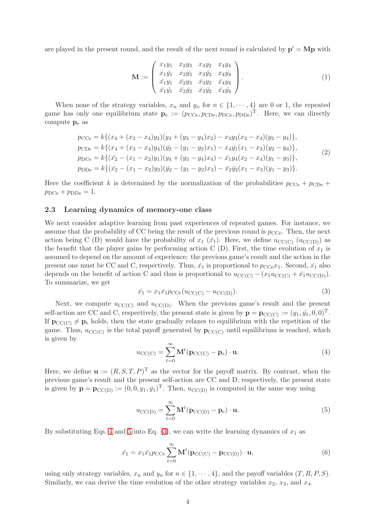are played in the present round, and the result of the next round is calculated by  $\mathbf{p}' = \mathbf{Mp}$  with

<span id="page-3-4"></span>
$$
\mathbf{M} := \begin{pmatrix} x_1y_1 & x_2y_3 & x_3y_2 & x_4y_4 \\ x_1\bar{y}_1 & x_2\bar{y}_3 & x_3\bar{y}_2 & x_4\bar{y}_4 \\ \bar{x}_1y_1 & \bar{x}_2y_3 & \bar{x}_3y_2 & \bar{x}_4y_4 \\ \bar{x}_1\bar{y}_1 & \bar{x}_2\bar{y}_3 & \bar{x}_3\bar{y}_2 & \bar{x}_4\bar{y}_4 \end{pmatrix} . \tag{1}
$$

When none of the strategy variables,  $x_n$  and  $y_n$  for  $n \in \{1, \dots, 4\}$  are 0 or 1, the repeated game has only one equilibrium state  $\mathbf{p}_e := (p_{\text{CCe}}, p_{\text{CDe}}, p_{\text{DCe}}, p_{\text{DDe}})^{\text{T}}$ . Here, we can directly compute  $p_e$  as

$$
p_{\text{CCe}} = k\{(x_4 + (x_3 - x_4)y_2)(y_4 + (y_3 - y_4)x_2) - x_3y_3(x_2 - x_4)(y_2 - y_4)\},
$$
  
\n
$$
p_{\text{CDe}} = k\{(x_4 + (x_3 - x_4)y_4)(\bar{y}_2 - (y_1 - y_2)x_1) - x_4\bar{y}_1(x_1 - x_3)(y_2 - y_4)\},
$$
  
\n
$$
p_{\text{DCe}} = k\{(\bar{x}_2 - (x_1 - x_2)y_1)(y_4 + (y_3 - y_4)x_4) - \bar{x}_1y_4(x_2 - x_4)(y_1 - y_3)\},
$$
  
\n
$$
p_{\text{DDe}} = k\{(\bar{x}_2 - (x_1 - x_2)y_3)(\bar{y}_2 - (y_1 - y_2)x_3) - \bar{x}_2\bar{y}_2(x_1 - x_3)(y_1 - y_3)\}.
$$
\n(2)

<span id="page-3-5"></span>Here the coefficient k is determined by the normalization of the probabilities  $p_{\text{CCe}} + p_{\text{CDe}} +$  $p_{\rm DCe} + p_{\rm DDe} = 1.$ 

#### 2.3 Learning dynamics of memory-one class

We next consider adaptive learning from past experiences of repeated games. For instance, we assume that the probability of CC being the result of the previous round is  $p_{\text{CCe}}$ . Then, the next action being C (D) would have the probability of  $x_1$  ( $\bar{x_1}$ ). Here, we define  $u_{\text{CCC}}$  ( $u_{\text{CCC}}$ )) as the benefit that the player gains by performing action C (D). First, the time evolution of  $x_1$  is assumed to depend on the amount of experience: the previous game's result and the action in the present one must be CC and C, respectively. Thus,  $\dot{x}_1$  is proportional to  $p_{CCe}x_1$ . Second,  $\dot{x}_1$  also depends on the benefit of action C and thus is proportional to  $u_{\text{CC}(C)} - (x_1u_{\text{CC}(C)} + \bar{x}_1u_{\text{CC}(D)})$ . To summarize, we get

<span id="page-3-2"></span>
$$
\dot{x}_1 = x_1 \bar{x_1} p_{\text{CCe}} (u_{\text{CC(C)}} - u_{\text{CC(D)}}). \tag{3}
$$

Next, we compute  $u_{\text{CC}(C)}$  and  $u_{\text{CC}(D)}$ . When the previous game's result and the present self-action are CC and C, respectively, the present state is given by  $\mathbf{p} = \mathbf{p}_{\text{CC}(C)} := (y_1, \bar{y_1}, 0, 0)^T$ . If  $\mathbf{p}_{\text{CC}(C)} \neq \mathbf{p}_{e}$  holds, then the state gradually relaxes to equilibrium with the repetition of the game. Thus,  $u_{\text{CC}(C)}$  is the total payoff generated by  $\mathbf{p}_{\text{CC}(C)}$  until equilibrium is reached, which is given by

<span id="page-3-0"></span>
$$
u_{\text{CC}(C)} = \sum_{t=0}^{\infty} \mathbf{M}^t (\mathbf{p}_{\text{CC}(C)} - \mathbf{p}_e) \cdot \mathbf{u}.
$$
 (4)

Here, we define  $\mathbf{u} := (R, S, T, P)^{\mathrm{T}}$  as the vector for the payoff matrix. By contrast, when the previous game's result and the present self-action are CC and D, respectively, the present state is given by  $\mathbf{p} = \mathbf{p}_{CC(D)} := (0, 0, y_1, \bar{y_1})^T$ . Then,  $u_{CC(D)}$  is computed in the same way using

<span id="page-3-1"></span>
$$
u_{\text{CC}(D)} = \sum_{t=0}^{\infty} \mathbf{M}^t (\mathbf{p}_{\text{CC}(D)} - \mathbf{p}_e) \cdot \mathbf{u}.
$$
 (5)

By substituting Eqs. [4](#page-3-0) and [5](#page-3-1) into Eq.  $(3)$ , we can write the learning dynamics of  $x_1$  as

<span id="page-3-3"></span>
$$
\dot{x}_1 = x_1 \bar{x}_1 p_{\text{CCe}} \sum_{t=0}^{\infty} \mathbf{M}^t (\mathbf{p}_{\text{CC(C)}} - \mathbf{p}_{\text{CC(D)}}) \cdot \mathbf{u},\tag{6}
$$

using only strategy variables,  $x_n$  and  $y_n$  for  $n \in \{1, \dots, 4\}$ , and the payoff variables  $(T, R, P, S)$ . Similarly, we can derive the time evolution of the other strategy variables  $x_2$ ,  $x_3$ , and  $x_4$ .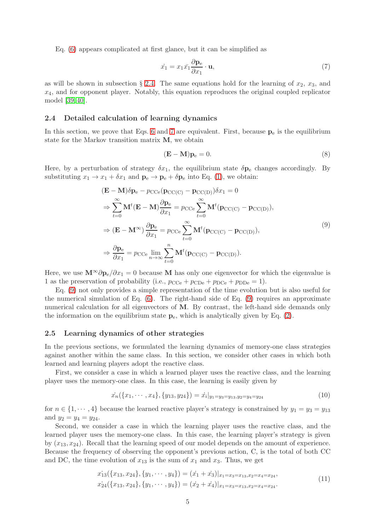Eq. [\(6\)](#page-3-3) appears complicated at first glance, but it can be simplified as

<span id="page-4-1"></span>
$$
\dot{x}_1 = x_1 \bar{x}_1 \frac{\partial \mathbf{p}_e}{\partial x_1} \cdot \mathbf{u},\tag{7}
$$

as will be shown in subsection § [2.4.](#page-4-0) The same equations hold for the learning of  $x_2$ ,  $x_3$ , and  $x_4$ , and for opponent player. Notably, this equation reproduces the original coupled replicator model [\[39,](#page-14-7) [40\]](#page-14-8).

#### <span id="page-4-0"></span>2.4 Detailed calculation of learning dynamics

In this section, we prove that Eqs. [6](#page-3-3) and [7](#page-4-1) are equivalent. First, because  $p_e$  is the equilibrium state for the Markov transition matrix M, we obtain

$$
(\mathbf{E} - \mathbf{M})\mathbf{p}_e = 0.
$$
 (8)

Here, by a perturbation of strategy  $\delta x_1$ , the equilibrium state  $\delta \mathbf{p}_e$  changes accordingly. By substituting  $x_1 \to x_1 + \delta x_1$  and  $\mathbf{p}_e \to \mathbf{p}_e + \delta \mathbf{p}_e$  into Eq. [\(1\)](#page-3-4), we obtain:

$$
(\mathbf{E} - \mathbf{M})\delta \mathbf{p}_e - p_{\text{CCe}} (\mathbf{p}_{\text{CC(C)}} - \mathbf{p}_{\text{CC(D)}}) \delta x_1 = 0
$$
  
\n
$$
\Rightarrow \sum_{t=0}^{\infty} \mathbf{M}^t (\mathbf{E} - \mathbf{M}) \frac{\partial \mathbf{p}_e}{\partial x_1} = p_{\text{CCe}} \sum_{t=0}^{\infty} \mathbf{M}^t (\mathbf{p}_{\text{CC(C)}} - \mathbf{p}_{\text{CC(D)}}),
$$
  
\n
$$
\Rightarrow (\mathbf{E} - \mathbf{M}^{\infty}) \frac{\partial \mathbf{p}_e}{\partial x_1} = p_{\text{CCe}} \sum_{t=0}^{\infty} \mathbf{M}^t (\mathbf{p}_{\text{CC(C)}} - \mathbf{p}_{\text{CC(D)}}),
$$
  
\n
$$
\Rightarrow \frac{\partial \mathbf{p}_e}{\partial x_1} = p_{\text{CCe}} \lim_{n \to \infty} \sum_{t=0}^n \mathbf{M}^t (\mathbf{p}_{\text{CC(C)}} - \mathbf{p}_{\text{CC(D)}}).
$$
  
\n(9)

<span id="page-4-2"></span>Here, we use  $\mathbf{M}^{\infty} \partial \mathbf{p}_{e}/\partial x_{1} = 0$  because M has only one eigenvector for which the eigenvalue is 1 as the preservation of probability (i.e.,  $p_{\text{CCe}} + p_{\text{CDe}} + p_{\text{DCe}} + p_{\text{DDe}} = 1$ ).

Eq. [\(9\)](#page-4-2) not only provides a simple representation of the time evolution but is also useful for the numerical simulation of Eq.  $(6)$ . The right-hand side of Eq.  $(9)$  requires an approximate numerical calculation for all eigenvectors of M. By contrast, the left-hand side demands only the information on the equilibrium state  $p_e$ , which is analytically given by Eq. [\(2\)](#page-3-5).

#### 2.5 Learning dynamics of other strategies

In the previous sections, we formulated the learning dynamics of memory-one class strategies against another within the same class. In this section, we consider other cases in which both learned and learning players adopt the reactive class.

First, we consider a case in which a learned player uses the reactive class, and the learning player uses the memory-one class. In this case, the learning is easily given by

$$
\dot{x_n}(\{x_1, \cdots, x_4\}, \{y_{13}, y_{24}\}) = \dot{x_i}|_{y_1 = y_3 = y_{13}, y_2 = y_4 = y_{24}} \tag{10}
$$

for  $n \in \{1, \dots, 4\}$  because the learned reactive player's strategy is constrained by  $y_1 = y_3 = y_{13}$ and  $y_2 = y_4 = y_{24}$ .

<span id="page-4-3"></span>Second, we consider a case in which the learning player uses the reactive class, and the learned player uses the memory-one class. In this case, the learning player's strategy is given by  $(x_{13}, x_{24})$ . Recall that the learning speed of our model depends on the amount of experience. Because the frequency of observing the opponent's previous action, C, is the total of both CC and DC, the time evolution of  $x_{13}$  is the sum of  $x_1$  and  $x_3$ . Thus, we get

$$
x_{13}(\lbrace x_{13}, x_{24} \rbrace, \lbrace y_1, \cdots, y_4 \rbrace) = (x_1 + x_3)|_{x_1 = x_3 = x_{13}, x_2 = x_4 = x_{24}},
$$
  
\n
$$
x_{24}(\lbrace x_{13}, x_{24} \rbrace, \lbrace y_1, \cdots, y_4 \rbrace) = (x_2 + x_4)|_{x_1 = x_3 = x_{13}, x_2 = x_4 = x_{24}}.
$$
\n
$$
(11)
$$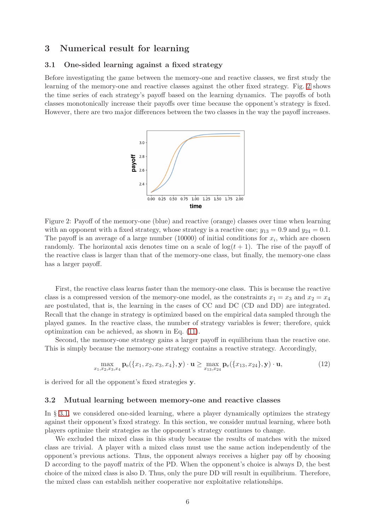### <span id="page-5-1"></span><span id="page-5-0"></span>3 Numerical result for learning

#### 3.1 One-sided learning against a fixed strategy

Before investigating the game between the memory-one and reactive classes, we first study the learning of the memory-one and reactive classes against the other fixed strategy. Fig. [2](#page-18-0) shows the time series of each strategy's payoff based on the learning dynamics. The payoffs of both classes monotonically increase their payoffs over time because the opponent's strategy is fixed. However, there are two major differences between the two classes in the way the payoff increases.



Figure 2: Payoff of the memory-one (blue) and reactive (orange) classes over time when learning with an opponent with a fixed strategy, whose strategy is a reactive one;  $y_{13} = 0.9$  and  $y_{24} = 0.1$ . The payoff is an average of a large number  $(10000)$  of initial conditions for  $x_i$ , which are chosen randomly. The horizontal axis denotes time on a scale of  $log(t + 1)$ . The rise of the payoff of the reactive class is larger than that of the memory-one class, but finally, the memory-one class has a larger payoff.

First, the reactive class learns faster than the memory-one class. This is because the reactive class is a compressed version of the memory-one model, as the constraints  $x_1 = x_3$  and  $x_2 = x_4$ are postulated, that is, the learning in the cases of CC and DC (CD and DD) are integrated. Recall that the change in strategy is optimized based on the empirical data sampled through the played games. In the reactive class, the number of strategy variables is fewer; therefore, quick optimization can be achieved, as shown in Eq. [\(11\)](#page-4-3).

Second, the memory-one strategy gains a larger payoff in equilibrium than the reactive one. This is simply because the memory-one strategy contains a reactive strategy. Accordingly,

$$
\max_{x_1, x_2, x_3, x_4} \mathbf{p}_e(\{x_1, x_2, x_3, x_4\}, \mathbf{y}) \cdot \mathbf{u} \ge \max_{x_{13}, x_{24}} \mathbf{p}_e(\{x_{13}, x_{24}\}, \mathbf{y}) \cdot \mathbf{u},\tag{12}
$$

is derived for all the opponent's fixed strategies y.

#### 3.2 Mutual learning between memory-one and reactive classes

In § [3.1,](#page-5-1) we considered one-sided learning, where a player dynamically optimizes the strategy against their opponent's fixed strategy. In this section, we consider mutual learning, where both players optimize their strategies as the opponent's strategy continues to change.

We excluded the mixed class in this study because the results of matches with the mixed class are trivial. A player with a mixed class must use the same action independently of the opponent's previous actions. Thus, the opponent always receives a higher pay off by choosing D according to the payoff matrix of the PD. When the opponent's choice is always D, the best choice of the mixed class is also D. Thus, only the pure DD will result in equilibrium. Therefore, the mixed class can establish neither cooperative nor exploitative relationships.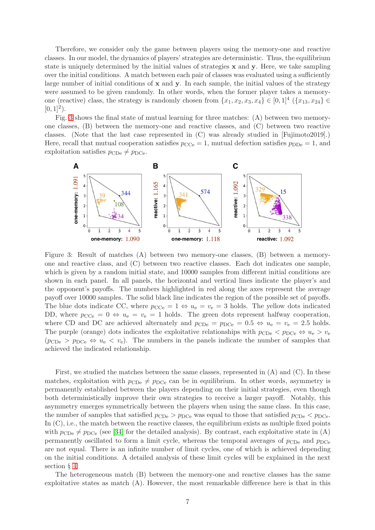Therefore, we consider only the game between players using the memory-one and reactive classes. In our model, the dynamics of players' strategies are deterministic. Thus, the equilibrium state is uniquely determined by the initial values of strategies  $x$  and  $y$ . Here, we take sampling over the initial conditions. A match between each pair of classes was evaluated using a sufficiently large number of initial conditions of  $x$  and  $y$ . In each sample, the initial values of the strategy were assumed to be given randomly. In other words, when the former player takes a memoryone (reactive) class, the strategy is randomly chosen from  $\{x_1, x_2, x_3, x_4\} \in [0,1]^4$   $(\{x_{13}, x_{24}\} \in$  $[0, 1]^2$ .

Fig. [3](#page-19-0) shows the final state of mutual learning for three matches: (A) between two memoryone classes, (B) between the memory-one and reactive classes, and (C) between two reactive classes. (Note that the last case represented in (C) was already studied in [Fujimoto2019].) Here, recall that mutual cooperation satisfies  $p_{\text{CCe}} = 1$ , mutual defection satisfies  $p_{\text{DDe}} = 1$ , and exploitation satisfies  $p_{\text{CDe}} \neq p_{\text{DCe}}$ .



Figure 3: Result of matches (A) between two memory-one classes, (B) between a memoryone and reactive class, and (C) between two reactive classes. Each dot indicates one sample, which is given by a random initial state, and 10000 samples from different initial conditions are shown in each panel. In all panels, the horizontal and vertical lines indicate the player's and the opponent's payoffs. The numbers highlighted in red along the axes represent the average payoff over 10000 samples. The solid black line indicates the region of the possible set of payoffs. The blue dots indicate CC, where  $p_{\text{CCe}} = 1 \Leftrightarrow u_{\text{e}} = v_{\text{e}} = 3$  holds. The yellow dots indicated DD, where  $p_{\text{CCe}} = 0 \Leftrightarrow u_{\text{e}} = v_{\text{e}} = 1$  holds. The green dots represent halfway cooperation, where CD and DC are achieved alternately and  $p_{\text{CDe}} = p_{\text{DCe}} = 0.5 \Leftrightarrow u_{\text{e}} = v_{\text{e}} = 2.5$  holds. The purple (orange) dots indicates the exploitative relationships with  $p_{CDe}$   $\lt p_{DCe} \Leftrightarrow u_e > v_e$  $(p_{\text{CDe}} > p_{\text{DCe}} \Leftrightarrow u_{\text{e}} < v_{\text{e}})$ . The numbers in the panels indicate the number of samples that achieved the indicated relationship.

First, we studied the matches between the same classes, represented in  $(A)$  and  $(C)$ . In these matches, exploitation with  $p_{CDe} \neq p_{DCe}$  can be in equilibrium. In other words, asymmetry is permanently established between the players depending on their initial strategies, even though both deterministically improve their own strategies to receive a larger payoff. Notably, this asymmetry emerges symmetrically between the players when using the same class. In this case, the number of samples that satisfied  $p_{\text{CDe}} > p_{\text{DCe}}$  was equal to those that satisfied  $p_{\text{CDe}} < p_{\text{DCe}}$ . In  $(C)$ , i.e., the match between the reactive classes, the equilibrium exists as multiple fixed points with  $p_{\text{CDe}} \neq p_{\text{DCe}}$  (see [\[34\]](#page-14-6) for the detailed analysis). By contrast, each exploitative state in (A) permanently oscillated to form a limit cycle, whereas the temporal averages of  $p_{\text{CDe}}$  and  $p_{\text{DCe}}$ are not equal. There is an infinite number of limit cycles, one of which is achieved depending on the initial conditions. A detailed analysis of these limit cycles will be explained in the next section § [4.](#page-7-0)

The heterogeneous match (B) between the memory-one and reactive classes has the same exploitative states as match (A). However, the most remarkable difference here is that in this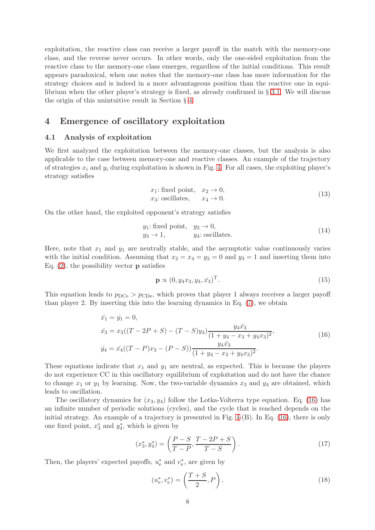exploitation, the reactive class can receive a larger payoff in the match with the memory-one class, and the reverse never occurs. In other words, only the one-sided exploitation from the reactive class to the memory-one class emerges, regardless of the initial conditions. This result appears paradoxical, when one notes that the memory-one class has more information for the strategy choices and is indeed in a more advantageous position than the reactive one in equilibrium when the other player's strategy is fixed, as already confirmed in § [3.1.](#page-5-1) We will discuss the origin of this unintuitive result in Section § [4.](#page-7-0)

### <span id="page-7-0"></span>4 Emergence of oscillatory exploitation

#### 4.1 Analysis of exploitation

We first analyzed the exploitation between the memory-one classes, but the analysis is also applicable to the case between memory-one and reactive classes. An example of the trajectory of strategies  $x_i$  and  $y_i$  during exploitation is shown in Fig. [4.](#page-8-0) For all cases, the exploiting player's strategy satisfies

$$
x_1: \text{fixed point}, \quad x_2 \to 0,
$$
  

$$
x_3: \text{oscillates}, \qquad x_4 \to 0.
$$
 (13)

<span id="page-7-3"></span><span id="page-7-2"></span>On the other hand, the exploited opponent's strategy satisfies

$$
y_1
$$
: fixed point,  $y_2 \to 0$ ,  
 $y_3 \to 1$ ,  $y_4$ : oscillates. (14)

Here, note that  $x_1$  and  $y_1$  are neutrally stable, and the asymptotic value continuously varies with the initial condition. Assuming that  $x_2 = x_4 = y_2 = 0$  and  $y_3 = 1$  and inserting them into Eq.  $(2)$ , the possibility vector **p** satisfies

$$
\mathbf{p} \propto (0, y_4 x_3, y_4, \bar{x}_3)^{\mathrm{T}}.\tag{15}
$$

This equation leads to  $p_{\text{DCe}} > p_{\text{CDe}}$ , which proves that player 1 always receives a larger payoff than player 2. By inserting this into the learning dynamics in Eq. [\(7\)](#page-4-1), we obtain

$$
\begin{aligned}\n\dot{x}_1 &= \dot{y}_1 = 0, \\
\dot{x}_3 &= x_3((T - 2P + S) - (T - S)y_4) \frac{y_4 \bar{x}_3}{(1 + y_4 - x_3 + y_4 x_3)^2}, \\
\dot{y}_4 &= \bar{x}_4((T - P)x_3 - (P - S)) \frac{y_4 \bar{x}_3}{(1 + y_4 - x_3 + y_4 x_3)^2}.\n\end{aligned} \tag{16}
$$

<span id="page-7-1"></span>These equations indicate that  $x_1$  and  $y_1$  are neutral, as expected. This is because the players do not experience CC in this oscillatory equilibrium of exploitation and do not have the chance to change  $x_1$  or  $y_1$  by learning. Now, the two-variable dynamics  $x_3$  and  $y_4$  are obtained, which leads to oscillation.

The oscillatory dynamics for  $(x_3, y_4)$  follow the Lotka-Volterra type equation. Eq. [\(16\)](#page-7-1) has an infinite number of periodic solutions (cycles), and the cycle that is reached depends on the initial strategy. An example of a trajectory is presented in Fig. [4-](#page-8-0)(B). In Eq. [\(16\)](#page-7-1), there is only one fixed point,  $x_3^*$  $_3^*$  and  $y_4^*$ 4 , which is given by

$$
(x_3^*, y_4^*) = \left(\frac{P-S}{T-P}, \frac{T-2P+S}{T-S}\right). \tag{17}
$$

Then, the players' expected payoffs,  $u_e^*$  and  $v_e^*$ e , are given by

$$
(u_e^*, v_e^*) = \left(\frac{T+S}{2}, P\right). \tag{18}
$$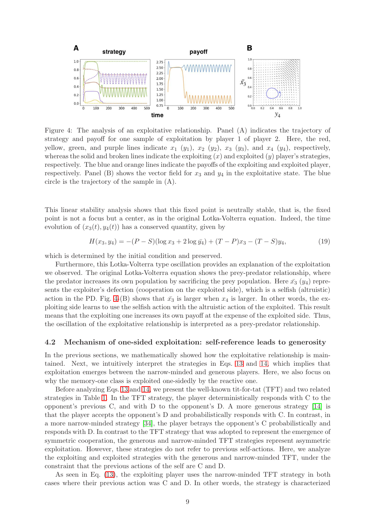

<span id="page-8-0"></span>Figure 4: The analysis of an exploitative relationship. Panel (A) indicates the trajectory of strategy and payoff for one sample of exploitation by player 1 of player 2. Here, the red, yellow, green, and purple lines indicate  $x_1$  ( $y_1$ ),  $x_2$  ( $y_2$ ),  $x_3$  ( $y_3$ ), and  $x_4$  ( $y_4$ ), respectively, whereas the solid and broken lines indicate the exploiting  $(x)$  and exploited  $(y)$  player's strategies, respectively. The blue and orange lines indicate the payoffs of the exploiting and exploited player, respectively. Panel (B) shows the vector field for  $x_3$  and  $y_4$  in the exploitative state. The blue circle is the trajectory of the sample in (A).

This linear stability analysis shows that this fixed point is neutrally stable, that is, the fixed point is not a focus but a center, as in the original Lotka-Volterra equation. Indeed, the time evolution of  $(x_3(t), y_4(t))$  has a conserved quantity, given by

$$
H(x_3, y_4) = -(P - S)(\log x_3 + 2\log y_4) + (T - P)x_3 - (T - S)y_4,\tag{19}
$$

which is determined by the initial condition and preserved.

Furthermore, this Lotka-Volterra type oscillation provides an explanation of the exploitation we observed. The original Lotka-Volterra equation shows the prey-predator relationship, where the predator increases its own population by sacrificing the prey population. Here  $\bar{x}_3$  ( $y_4$ ) represents the exploiter's defection (cooperation on the exploited side), which is a selfish (altruistic) action in the PD. Fig. [4-](#page-8-0)(B) shows that  $\bar{x}_3$  is larger when  $x_4$  is larger. In other words, the exploiting side learns to use the selfish action with the altruistic action of the exploited. This result means that the exploiting one increases its own payoff at the expense of the exploited side. Thus, the oscillation of the exploitative relationship is interpreted as a prey-predator relationship.

#### 4.2 Mechanism of one-sided exploitation: self-reference leads to generosity

In the previous sections, we mathematically showed how the exploitative relationship is maintained. Next, we intuitively interpret the strategies in Eqs. [13](#page-7-2) and [14,](#page-7-3) which implies that exploitation emerges between the narrow-minded and generous players. Here, we also focus on why the memory-one class is exploited one-sidedly by the reactive one.

Before analyzing Eqs. [13](#page-7-2) and [14,](#page-7-3) we present the well-known tit-for-tat (TFT) and two related strategies in Table [1.](#page-9-0) In the TFT strategy, the player deterministically responds with C to the opponent's previous C, and with D to the opponent's D. A more generous strategy [\[14\]](#page-13-8) is that the player accepts the opponent's D and probabilistically responds with C. In contrast, in a more narrow-minded strategy [\[34\]](#page-14-6), the player betrays the opponent's C probabilistically and responds with D. In contrast to the TFT strategy that was adopted to represent the emergence of symmetric cooperation, the generous and narrow-minded TFT strategies represent asymmetric exploitation. However, these strategies do not refer to previous self-actions. Here, we analyze the exploiting and exploited strategies with the generous and narrow-minded TFT, under the constraint that the previous actions of the self are C and D.

As seen in Eq. [\(13\)](#page-7-2), the exploiting player uses the narrow-minded TFT strategy in both cases where their previous action was C and D. In other words, the strategy is characterized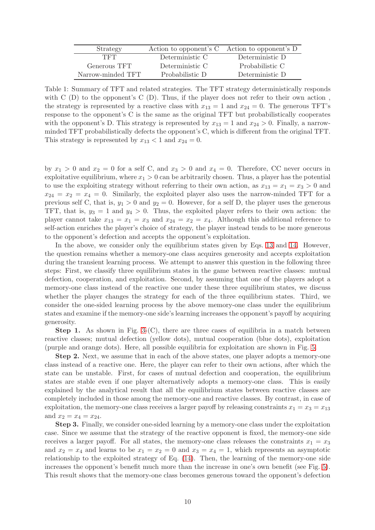| Strategy          |                 | Action to opponent's C Action to opponent's D |
|-------------------|-----------------|-----------------------------------------------|
| 'TFT'             | Deterministic C | Deterministic D                               |
| Generous TFT      | Deterministic C | Probabilistic C                               |
| Narrow-minded TFT | Probabilistic D | Deterministic D                               |

<span id="page-9-0"></span>Table 1: Summary of TFT and related strategies. The TFT strategy deterministically responds with  $C(D)$  to the opponent's  $C(D)$ . Thus, if the player does not refer to their own action, the strategy is represented by a reactive class with  $x_{13} = 1$  and  $x_{24} = 0$ . The generous TFT's response to the opponent's C is the same as the original TFT but probabilistically cooperates with the opponent's D. This strategy is represented by  $x_{13} = 1$  and  $x_{24} > 0$ . Finally, a narrowminded TFT probabilistically defects the opponent's C, which is different from the original TFT. This strategy is represented by  $x_{13} < 1$  and  $x_{24} = 0$ .

by  $x_1 > 0$  and  $x_2 = 0$  for a self C, and  $x_3 > 0$  and  $x_4 = 0$ . Therefore, CC never occurs in exploitative equilibrium, where  $x_1 > 0$  can be arbitrarily chosen. Thus, a player has the potential to use the exploiting strategy without referring to their own action, as  $x_{13} = x_1 = x_3 > 0$  and  $x_{24} = x_2 = x_4 = 0$ . Similarly, the exploited player also uses the narrow-minded TFT for a previous self C, that is,  $y_1 > 0$  and  $y_2 = 0$ . However, for a self D, the player uses the generous TFT, that is,  $y_3 = 1$  and  $y_4 > 0$ . Thus, the exploited player refers to their own action: the player cannot take  $x_{13} = x_1 = x_3$  and  $x_{24} = x_2 = x_4$ . Although this additional reference to self-action enriches the player's choice of strategy, the player instead tends to be more generous to the opponent's defection and accepts the opponent's exploitation.

In the above, we consider only the equilibrium states given by Eqs. [13](#page-7-2) and [14.](#page-7-3) However, the question remains whether a memory-one class acquires generosity and accepts exploitation during the transient learning process. We attempt to answer this question in the following three steps: First, we classify three equilibrium states in the game between reactive classes: mutual defection, cooperation, and exploitation. Second, by assuming that one of the players adopt a memory-one class instead of the reactive one under these three equilibrium states, we discuss whether the player changes the strategy for each of the three equilibrium states. Third, we consider the one-sided learning process by the above memory-one class under the equilibrium states and examine if the memory-one side's learning increases the opponent's payoff by acquiring generosity.

**Step 1.** As shown in Fig. [3-](#page-19-0)(C), there are three cases of equilibria in a match between reactive classes; mutual defection (yellow dots), mutual cooperation (blue dots), exploitation (purple and orange dots). Here, all possible equilibria for exploitation are shown in Fig. [5.](#page-10-1)

Step 2. Next, we assume that in each of the above states, one player adopts a memory-one class instead of a reactive one. Here, the player can refer to their own actions, after which the state can be unstable. First, for cases of mutual defection and cooperation, the equilibrium states are stable even if one player alternatively adopts a memory-one class. This is easily explained by the analytical result that all the equilibrium states between reactive classes are completely included in those among the memory-one and reactive classes. By contrast, in case of exploitation, the memory-one class receives a larger payoff by releasing constraints  $x_1 = x_3 = x_{13}$ and  $x_2 = x_4 = x_{24}$ .

Step 3. Finally, we consider one-sided learning by a memory-one class under the exploitation case. Since we assume that the strategy of the reactive opponent is fixed, the memory-one side receives a larger payoff. For all states, the memory-one class releases the constraints  $x_1 = x_3$ and  $x_2 = x_4$  and learns to be  $x_1 = x_2 = 0$  and  $x_3 = x_4 = 1$ , which represents an asymptotic relationship to the exploited strategy of Eq. [\(14\)](#page-7-3). Then, the learning of the memory-one side increases the opponent's benefit much more than the increase in one's own benefit (see Fig. [5\)](#page-10-1). This result shows that the memory-one class becomes generous toward the opponent's defection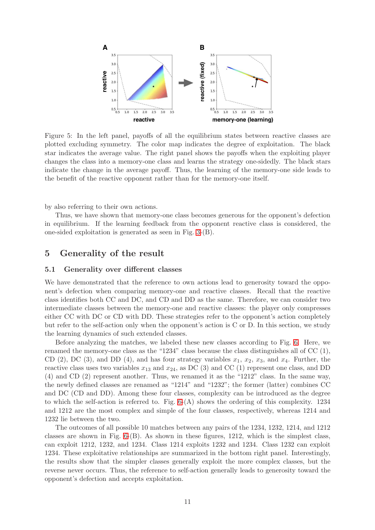

<span id="page-10-1"></span>Figure 5: In the left panel, payoffs of all the equilibrium states between reactive classes are plotted excluding symmetry. The color map indicates the degree of exploitation. The black star indicates the average value. The right panel shows the payoffs when the exploiting player changes the class into a memory-one class and learns the strategy one-sidedly. The black stars indicate the change in the average payoff. Thus, the learning of the memory-one side leads to the benefit of the reactive opponent rather than for the memory-one itself.

by also referring to their own actions.

Thus, we have shown that memory-one class becomes generous for the opponent's defection in equilibrium. If the learning feedback from the opponent reactive class is considered, the one-sided exploitation is generated as seen in Fig. [3-](#page-19-0)(B).

### <span id="page-10-2"></span><span id="page-10-0"></span>5 Generality of the result

#### 5.1 Generality over different classes

We have demonstrated that the reference to own actions lead to generosity toward the opponent's defection when comparing memory-one and reactive classes. Recall that the reactive class identifies both CC and DC, and CD and DD as the same. Therefore, we can consider two intermediate classes between the memory-one and reactive classes: the player only compresses either CC with DC or CD with DD. These strategies refer to the opponent's action completely but refer to the self-action only when the opponent's action is C or D. In this section, we study the learning dynamics of such extended classes.

Before analyzing the matches, we labeled these new classes according to Fig. [6.](#page-11-0) Here, we renamed the memory-one class as the "1234" class because the class distinguishes all of CC (1), CD (2), DC (3), and DD (4), and has four strategy variables  $x_1, x_2, x_3$ , and  $x_4$ . Further, the reactive class uses two variables  $x_{13}$  and  $x_{24}$ , as DC (3) and CC (1) represent one class, and DD (4) and CD (2) represent another. Thus, we renamed it as the "1212" class. In the same way, the newly defined classes are renamed as "1214" and "1232"; the former (latter) combines CC and DC (CD and DD). Among these four classes, complexity can be introduced as the degree to which the self-action is referred to. Fig. [6-](#page-11-0)(A) shows the ordering of this complexity. 1234 and 1212 are the most complex and simple of the four classes, respectively, whereas 1214 and 1232 lie between the two.

The outcomes of all possible 10 matches between any pairs of the 1234, 1232, 1214, and 1212 classes are shown in Fig. [6-](#page-11-0)(B). As shown in these figures, 1212, which is the simplest class, can exploit 1212, 1232, and 1234. Class 1214 exploits 1232 and 1234. Class 1232 can exploit 1234. These exploitative relationships are summarized in the bottom right panel. Interestingly, the results show that the simpler classes generally exploit the more complex classes, but the reverse never occurs. Thus, the reference to self-action generally leads to generosity toward the opponent's defection and accepts exploitation.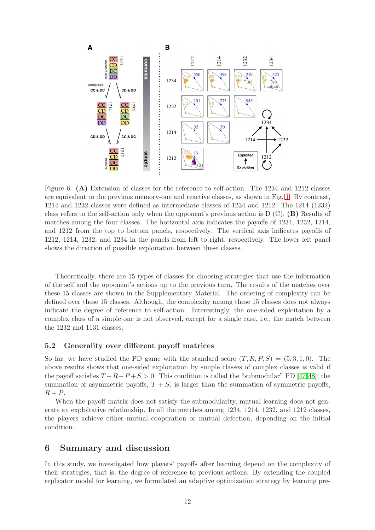

<span id="page-11-0"></span>Figure 6: (A) Extension of classes for the reference to self-action. The 1234 and 1212 classes are equivalent to the previous memory-one and reactive classes, as shown in Fig. [1.](#page-16-0) By contrast, 1214 and 1232 classes were defined as intermediate classes of 1234 and 1212. The 1214 (1232) class refers to the self-action only when the opponent's previous action is  $D(G)$ . (B) Results of matches among the four classes. The horizontal axis indicates the payoffs of 1234, 1232, 1214, and 1212 from the top to bottom panels, respectively. The vertical axis indicates payoffs of 1212, 1214, 1232, and 1234 in the panels from left to right, respectively. The lower left panel shows the direction of possible exploitation between these classes.

Theoretically, there are 15 types of classes for choosing strategies that use the information of the self and the opponent's actions up to the previous turn. The results of the matches over these 15 classes are shown in the Supplementary Material. The ordering of complexity can be defined over these 15 classes. Although, the complexity among these 15 classes does not always indicate the degree of reference to self-action. Interestingly, the one-sided exploitation by a complex class of a simple one is not observed, except for a single case, i.e., the match between the 1232 and 1131 classes.

#### 5.2 Generality over different payoff matrices

So far, we have studied the PD game with the standard score  $(T, R, P, S) = (5, 3, 1, 0)$ . The above results shows that one-sided exploitation by simple classes of complex classes is valid if the payoff satisfies  $T - R - P + S > 0$ . This condition is called the "submodular" PD [\[47,](#page-15-4)[48\]](#page-15-5); the summation of asymmetric payoffs,  $T + S$ , is larger than the summation of symmetric payoffs,  $R + P$ .

When the payoff matrix does not satisfy the submodularity, mutual learning does not generate an exploitative relationship. In all the matches among 1234, 1214, 1232, and 1212 classes, the players achieve either mutual cooperation or mutual defection, depending on the initial condition.

#### 6 Summary and discussion

In this study, we investigated how players' payoffs after learning depend on the complexity of their strategies, that is, the degree of reference to previous actions. By extending the coupled replicator model for learning, we formulated an adaptive optimization strategy by learning pre-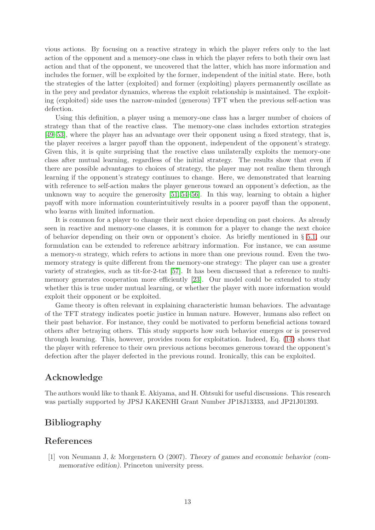vious actions. By focusing on a reactive strategy in which the player refers only to the last action of the opponent and a memory-one class in which the player refers to both their own last action and that of the opponent, we uncovered that the latter, which has more information and includes the former, will be exploited by the former, independent of the initial state. Here, both the strategies of the latter (exploited) and former (exploiting) players permanently oscillate as in the prey and predator dynamics, whereas the exploit relationship is maintained. The exploiting (exploited) side uses the narrow-minded (generous) TFT when the previous self-action was defection.

Using this definition, a player using a memory-one class has a larger number of choices of strategy than that of the reactive class. The memory-one class includes extortion strategies [\[49](#page-15-6)[–53\]](#page-15-7), where the player has an advantage over their opponent using a fixed strategy, that is, the player receives a larger payoff than the opponent, independent of the opponent's strategy. Given this, it is quite surprising that the reactive class unilaterally exploits the memory-one class after mutual learning, regardless of the initial strategy. The results show that even if there are possible advantages to choices of strategy, the player may not realize them through learning if the opponent's strategy continues to change. Here, we demonstrated that learning with reference to self-action makes the player generous toward an opponent's defection, as the unknown way to acquire the generosity [\[51,](#page-15-8) [54–](#page-15-9)[56\]](#page-15-10). In this way, learning to obtain a higher payoff with more information counterintuitively results in a poorer payoff than the opponent, who learns with limited information.

It is common for a player to change their next choice depending on past choices. As already seen in reactive and memory-one classes, it is common for a player to change the next choice of behavior depending on their own or opponent's choice. As briefly mentioned in § [5.1,](#page-10-2) our formulation can be extended to reference arbitrary information. For instance, we can assume a memory-n strategy, which refers to actions in more than one previous round. Even the twomemory strategy is quite different from the memory-one strategy: The player can use a greater variety of strategies, such as tit-for-2-tat [\[57\]](#page-15-11). It has been discussed that a reference to multimemory generates cooperation more efficiently [\[23\]](#page-14-0). Our model could be extended to study whether this is true under mutual learning, or whether the player with more information would exploit their opponent or be exploited.

Game theory is often relevant in explaining characteristic human behaviors. The advantage of the TFT strategy indicates poetic justice in human nature. However, humans also reflect on their past behavior. For instance, they could be motivated to perform beneficial actions toward others after betraying others. This study supports how such behavior emerges or is preserved through learning. This, however, provides room for exploitation. Indeed, Eq. [\(14\)](#page-7-3) shows that the player with reference to their own previous actions becomes generous toward the opponent's defection after the player defected in the previous round. Ironically, this can be exploited.

### Acknowledge

The authors would like to thank E. Akiyama, and H. Ohtsuki for useful discussions. This research was partially supported by JPSJ KAKENHI Grant Number JP18J13333, and JP21J01393.

### Bibliography

### <span id="page-12-0"></span>References

[1] von Neumann J, & Morgenstern O (2007). Theory of games and economic behavior (commemorative edition). Princeton university press.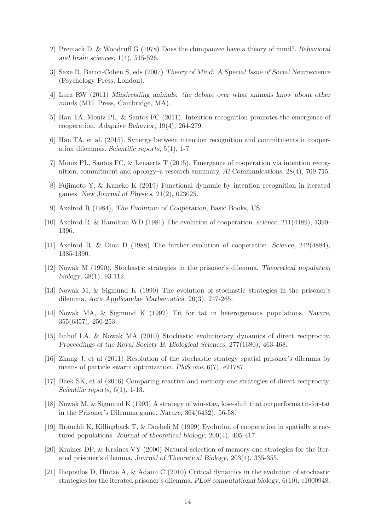- <span id="page-13-0"></span>[2] Premack D, & Woodruff G (1978) Does the chimpanzee have a theory of mind?. Behavioral and brain sciences, 1(4), 515-526.
- [3] Saxe R, Baron-Cohen S, eds (2007) Theory of Mind: A Special Issue of Social Neuroscience (Psychology Press, London).
- [4] Lurz RW (2011) Mindreading animals: the debate over what animals know about other minds (MIT Press, Cambridge, MA).
- [5] Han TA, Moniz PL, & Santos FC (2011). Intention recognition promotes the emergence of cooperation. Adaptive Behavior, 19(4), 264-279.
- [6] Han TA, et al. (2015). Synergy between intention recognition and commitments in cooperation dilemmas. Scientific reports, 5(1), 1-7.
- <span id="page-13-1"></span>[7] Moniz PL, Santos FC, & Lenaerts T (2015). Emergence of cooperation via intention recognition, commitment and apology–a research summary. Ai Communications, 28(4), 709-715.
- <span id="page-13-2"></span>[8] Fujimoto Y, & Kaneko K (2019) Functional dynamic by intention recognition in iterated games. New Journal of Physics, 21(2), 023025.
- <span id="page-13-3"></span>[9] Axelrod R (1984), The Evolution of Cooperation, Basic Books, US.
- <span id="page-13-4"></span>[10] Axelrod R, & Hamilton WD (1981) The evolution of cooperation. science, 211(4489), 1390- 1396.
- <span id="page-13-5"></span>[11] Axelrod R, & Dion D (1988) The further evolution of cooperation. Science, 242(4884), 1385-1390.
- [12] Nowak M (1990). Stochastic strategies in the prisoner's dilemma. Theoretical population biology, 38(1), 93-112.
- [13] Nowak M, & Sigmund K (1990) The evolution of stochastic strategies in the prisoner's dilemma. Acta Applicandae Mathematica, 20(3), 247-265.
- <span id="page-13-8"></span>[14] Nowak MA, & Sigmund K (1992) Tit for tat in heterogeneous populations. Nature, 355(6357), 250-253.
- [15] Imhof LA, & Nowak MA (2010) Stochastic evolutionary dynamics of direct reciprocity. Proceedings of the Royal Society B: Biological Sciences, 277(1680), 463-468.
- [16] Zhang J, et al (2011) Resolution of the stochastic strategy spatial prisoner's dilemma by means of particle swarm optimization. PloS one, 6(7), e21787.
- <span id="page-13-6"></span>[17] Baek SK, et al (2016) Comparing reactive and memory-one strategies of direct reciprocity. Scientific reports,  $6(1)$ , 1-13.
- <span id="page-13-7"></span>[18] Nowak M, & Sigmund K (1993) A strategy of win-stay, lose-shift that outperforms tit-for-tat in the Prisoner's Dilemma game. Nature, 364(6432), 56-58.
- [19] Brauchli K, Killingback T, & Doebeli M (1999) Evolution of cooperation in spatially structured populations. Journal of theoretical biology, 200(4), 405-417.
- [20] Kraines DP, & Kraines VY (2000) Natural selection of memory-one strategies for the iterated prisoner's dilemma. Journal of Theoretical Biology, 203(4), 335-355.
- [21] Iliopoulos D, Hintze A, & Adami C (2010) Critical dynamics in the evolution of stochastic strategies for the iterated prisoner's dilemma. PLoS computational biology, 6(10), e1000948.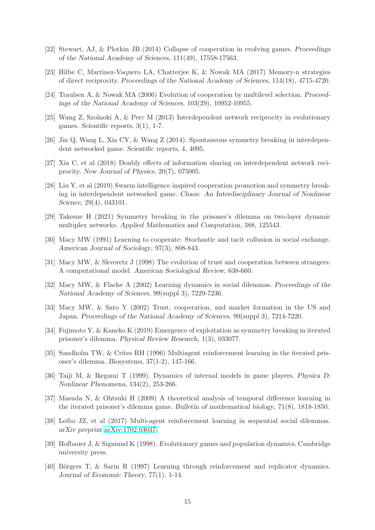- <span id="page-14-0"></span>[22] Stewart, AJ, & Plotkin JB (2014) Collapse of cooperation in evolving games. Proceedings of the National Academy of Sciences, 111(49), 17558-17563.
- <span id="page-14-1"></span>[23] Hilbe C, Martinez-Vaquero LA, Chatterjee K, & Nowak MA (2017) Memory-n strategies of direct reciprocity. Proceedings of the National Academy of Sciences, 114(18), 4715-4720.
- [24] Traulsen A, & Nowak MA (2006) Evolution of cooperation by multilevel selection. Proceedings of the National Academy of Sciences, 103(29), 10952-10955.
- <span id="page-14-5"></span>[25] Wang Z, Szolnoki A, & Perc M (2013) Interdependent network reciprocity in evolutionary games. Scientific reports, 3(1), 1-7.
- [26] Jin Q, Wang L, Xia CY, & Wang Z (2014). Spontaneous symmetry breaking in interdependent networked game. Scientific reports, 4, 4095.
- [27] Xia C, et al (2018) Doubly effects of information sharing on interdependent network reciprocity. New Journal of Physics, 20(7), 075005.
- [28] Liu Y, et al (2019) Swarm intelligence inspired cooperation promotion and symmetry breaking in interdependent networked game. Chaos: An Interdisciplinary Journal of Nonlinear Science, 29(4), 043101.
- <span id="page-14-3"></span><span id="page-14-2"></span>[29] Takesue H (2021) Symmetry breaking in the prisoner's dilemma on two-layer dynamic multiplex networks. Applied Mathematics and Computation, 388, 125543.
- [30] Macy MW (1991) Learning to cooperate: Stochastic and tacit collusion in social exchange. American Journal of Sociology, 97(3), 808-843.
- [31] Macy MW, & Skvoretz J (1998) The evolution of trust and cooperation between strangers: A computational model. American Sociological Review, 638-660.
- [32] Macy MW, & Flache A (2002) Learning dynamics in social dilemmas. Proceedings of the National Academy of Sciences, 99(suppl 3), 7229-7236.
- [33] Macy MW, & Sato Y (2002) Trust, cooperation, and market formation in the US and Japan. Proceedings of the National Academy of Sciences, 99(suppl 3), 7214-7220.
- <span id="page-14-6"></span>[34] Fujimoto Y, & Kaneko K (2019) Emergence of exploitation as symmetry breaking in iterated prisoner's dilemma. Physical Review Research, 1(3), 033077.
- [35] Sandholm TW, & Crites RH (1996) Multiagent reinforcement learning in the iterated prisoner's dilemma. Biosystems, 37(1-2), 147-166.
- [36] Taiji M, & Ikegami T (1999). Dynamics of internal models in game players. Physica D: Nonlinear Phenomena, 134(2), 253-266.
- <span id="page-14-4"></span>[37] Masuda N, & Ohtsuki H (2009) A theoretical analysis of temporal difference learning in the iterated prisoner's dilemma game. Bulletin of mathematical biology, 71(8), 1818-1850.
- [38] Leibo JZ, et al (2017) Multi-agent reinforcement learning in sequential social dilemmas. arXiv preprint [arXiv:1702.03037.](http://arxiv.org/abs/1702.03037)
- <span id="page-14-7"></span>[39] Hofbauer J, & Sigmund K (1998). Evolutionary games and population dynamics. Cambridge university press.
- <span id="page-14-8"></span>[40] Börgers T, & Sarin R (1997) Learning through reinforcement and replicator dynamics. Journal of Economic Theory, 77(1), 1-14.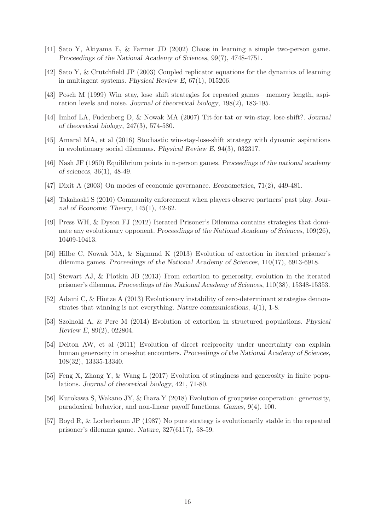- <span id="page-15-0"></span>[41] Sato Y, Akiyama E, & Farmer JD (2002) Chaos in learning a simple two-person game. Proceedings of the National Academy of Sciences, 99(7), 4748-4751.
- <span id="page-15-1"></span>[42] Sato Y, & Crutchfield JP (2003) Coupled replicator equations for the dynamics of learning in multiagent systems. Physical Review E, 67(1), 015206.
- [43] Posch M (1999) Win–stay, lose–shift strategies for repeated games—memory length, aspiration levels and noise. Journal of theoretical biology, 198(2), 183-195.
- <span id="page-15-2"></span>[44] Imhof LA, Fudenberg D, & Nowak MA (2007) Tit-for-tat or win-stay, lose-shift?. Journal of theoretical biology, 247(3), 574-580.
- <span id="page-15-3"></span>[45] Amaral MA, et al (2016) Stochastic win-stay-lose-shift strategy with dynamic aspirations in evolutionary social dilemmas. Physical Review E, 94(3), 032317.
- <span id="page-15-4"></span>[46] Nash JF (1950) Equilibrium points in n-person games. Proceedings of the national academy of sciences, 36(1), 48-49.
- <span id="page-15-5"></span>[47] Dixit A (2003) On modes of economic governance. Econometrica, 71(2), 449-481.
- <span id="page-15-6"></span>[48] Takahashi S (2010) Community enforcement when players observe partners' past play. Journal of Economic Theory, 145(1), 42-62.
- [49] Press WH, & Dyson FJ (2012) Iterated Prisoner's Dilemma contains strategies that dominate any evolutionary opponent. Proceedings of the National Academy of Sciences, 109(26), 10409-10413.
- [50] Hilbe C, Nowak MA, & Sigmund K (2013) Evolution of extortion in iterated prisoner's dilemma games. Proceedings of the National Academy of Sciences, 110(17), 6913-6918.
- <span id="page-15-8"></span>[51] Stewart AJ, & Plotkin JB (2013) From extortion to generosity, evolution in the iterated prisoner's dilemma. Proceedings of the National Academy of Sciences, 110(38), 15348-15353.
- [52] Adami C, & Hintze A (2013) Evolutionary instability of zero-determinant strategies demonstrates that winning is not everything. Nature communications, 4(1), 1-8.
- <span id="page-15-7"></span>[53] Szolnoki A, & Perc M (2014) Evolution of extortion in structured populations. Physical Review E, 89(2), 022804.
- <span id="page-15-9"></span>[54] Delton AW, et al (2011) Evolution of direct reciprocity under uncertainty can explain human generosity in one-shot encounters. Proceedings of the National Academy of Sciences, 108(32), 13335-13340.
- <span id="page-15-10"></span>[55] Feng X, Zhang Y, & Wang L (2017) Evolution of stinginess and generosity in finite populations. Journal of theoretical biology, 421, 71-80.
- [56] Kurokawa S, Wakano JY, & Ihara Y (2018) Evolution of groupwise cooperation: generosity, paradoxical behavior, and non-linear payoff functions. Games, 9(4), 100.
- <span id="page-15-11"></span>[57] Boyd R, & Lorberbaum JP (1987) No pure strategy is evolutionarily stable in the repeated prisoner's dilemma game. Nature, 327(6117), 58-59.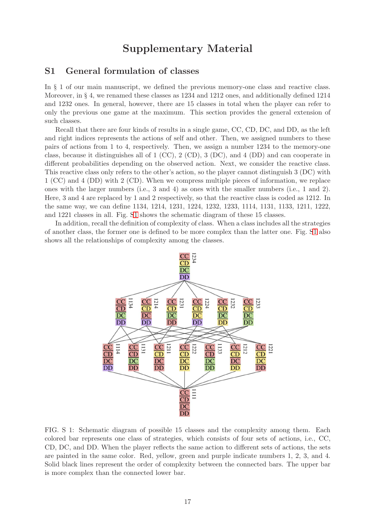## Supplementary Material

### S1 General formulation of classes

In § 1 of our main manuscript, we defined the previous memory-one class and reactive class. Moreover, in § 4, we renamed these classes as 1234 and 1212 ones, and additionally defined 1214 and 1232 ones. In general, however, there are 15 classes in total when the player can refer to only the previous one game at the maximum. This section provides the general extension of such classes.

Recall that there are four kinds of results in a single game, CC, CD, DC, and DD, as the left and right indices represents the actions of self and other. Then, we assigned numbers to these pairs of actions from 1 to 4, respectively. Then, we assign a number 1234 to the memory-one class, because it distinguishes all of 1 (CC), 2 (CD), 3 (DC), and 4 (DD) and can cooperate in different probabilities depending on the observed action. Next, we consider the reactive class. This reactive class only refers to the other's action, so the player cannot distinguish 3 (DC) with 1 (CC) and 4 (DD) with 2 (CD). When we compress multiple pieces of information, we replace ones with the larger numbers (i.e., 3 and 4) as ones with the smaller numbers (i.e., 1 and 2). Here, 3 and 4 are replaced by 1 and 2 respectively, so that the reactive class is coded as 1212. In the same way, we can define 1134, 1214, 1231, 1224, 1232, 1233, 1114, 1131, 1133, 1211, 1222, and 1221 classes in all. Fig. [S1](#page-16-0) shows the schematic diagram of these 15 classes.

In addition, recall the definition of complexity of class. When a class includes all the strategies of another class, the former one is defined to be more complex than the latter one. Fig. [S1](#page-16-0) also shows all the relationships of complexity among the classes.



<span id="page-16-0"></span>FIG. S 1: Schematic diagram of possible 15 classes and the complexity among them. Each colored bar represents one class of strategies, which consists of four sets of actions, i.e., CC, CD, DC, and DD. When the player reflects the same action to different sets of actions, the sets are painted in the same color. Red, yellow, green and purple indicate numbers 1, 2, 3, and 4. Solid black lines represent the order of complexity between the connected bars. The upper bar is more complex than the connected lower bar.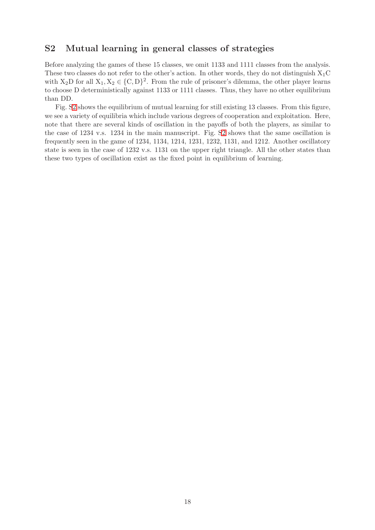### <span id="page-17-0"></span>S2 Mutual learning in general classes of strategies

Before analyzing the games of these 15 classes, we omit 1133 and 1111 classes from the analysis. These two classes do not refer to the other's action. In other words, they do not distinguish  $X_1C$ with  $X_2D$  for all  $X_1, X_2 \in \{C, D\}^2$ . From the rule of prisoner's dilemma, the other player learns to choose D deterministically against 1133 or 1111 classes. Thus, they have no other equilibrium than DD.

Fig. [S2](#page-18-0) shows the equilibrium of mutual learning for still existing 13 classes. From this figure, we see a variety of equilibria which include various degrees of cooperation and exploitation. Here, note that there are several kinds of oscillation in the payoffs of both the players, as similar to the case of 1234 v.s. 1234 in the main manuscript. Fig. [S2](#page-18-0) shows that the same oscillation is frequently seen in the game of 1234, 1134, 1214, 1231, 1232, 1131, and 1212. Another oscillatory state is seen in the case of 1232 v.s. 1131 on the upper right triangle. All the other states than these two types of oscillation exist as the fixed point in equilibrium of learning.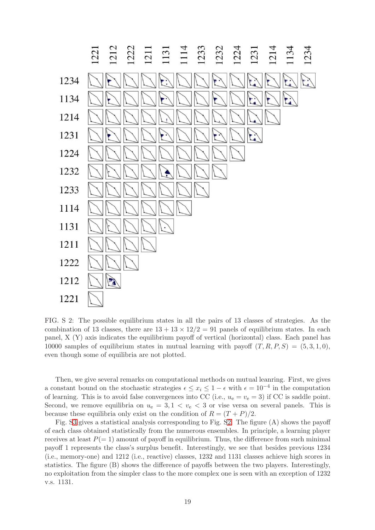

<span id="page-18-0"></span>FIG. S 2: The possible equilibrium states in all the pairs of 13 classes of strategies. As the combination of 13 classes, there are  $13 + 13 \times 12/2 = 91$  panels of equilibrium states. In each panel, X (Y) axis indicates the equilibrium payoff of vertical (horizontal) class. Each panel has 10000 samples of equilibrium states in mutual learning with payoff  $(T, R, P, S) = (5, 3, 1, 0)$ , even though some of equilibria are not plotted.

Then, we give several remarks on computational methods on mutual leanring. First, we gives a constant bound on the stochastic strategies  $\epsilon \leq x_i \leq 1 - \epsilon$  with  $\epsilon = 10^{-4}$  in the computation of learning. This is to avoid false convergences into CC (i.e.,  $u_e = v_e = 3$ ) if CC is saddle point. Second, we remove equilibria on  $u_e = 3, 1 < v_e < 3$  or vise versa on several panels. This is because these equilibria only exist on the condition of  $R = (T + P)/2$ .

Fig. [S3](#page-19-0) gives a statistical analysis corresponding to Fig. [S2.](#page-18-0) The figure (A) shows the payoff of each class obtained statistically from the numerous ensembles. In principle, a learning player receives at least  $P(= 1)$  amount of payoff in equilibrium. Thus, the difference from such minimal payoff 1 represents the class's surplus benefit. Interestingly, we see that besides previous 1234 (i.e., memory-one) and 1212 (i.e., reactive) classes, 1232 and 1131 classes achieve high scores in statistics. The figure (B) shows the difference of payoffs between the two players. Interestingly, no exploitation from the simpler class to the more complex one is seen with an exception of 1232 v.s. 1131.